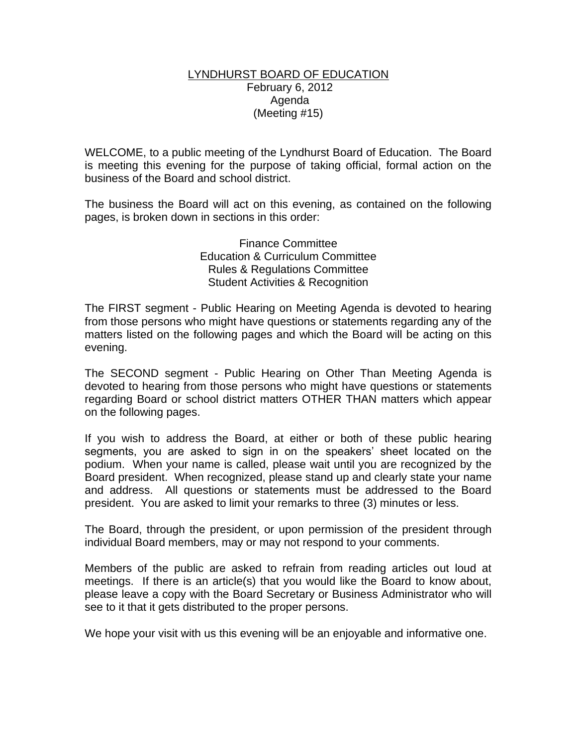## LYNDHURST BOARD OF EDUCATION February 6, 2012 Agenda (Meeting #15)

WELCOME, to a public meeting of the Lyndhurst Board of Education. The Board is meeting this evening for the purpose of taking official, formal action on the business of the Board and school district.

The business the Board will act on this evening, as contained on the following pages, is broken down in sections in this order:

> Finance Committee Education & Curriculum Committee Rules & Regulations Committee Student Activities & Recognition

The FIRST segment - Public Hearing on Meeting Agenda is devoted to hearing from those persons who might have questions or statements regarding any of the matters listed on the following pages and which the Board will be acting on this evening.

The SECOND segment - Public Hearing on Other Than Meeting Agenda is devoted to hearing from those persons who might have questions or statements regarding Board or school district matters OTHER THAN matters which appear on the following pages.

If you wish to address the Board, at either or both of these public hearing segments, you are asked to sign in on the speakers' sheet located on the podium. When your name is called, please wait until you are recognized by the Board president. When recognized, please stand up and clearly state your name and address. All questions or statements must be addressed to the Board president. You are asked to limit your remarks to three (3) minutes or less.

The Board, through the president, or upon permission of the president through individual Board members, may or may not respond to your comments.

Members of the public are asked to refrain from reading articles out loud at meetings. If there is an article(s) that you would like the Board to know about, please leave a copy with the Board Secretary or Business Administrator who will see to it that it gets distributed to the proper persons.

We hope your visit with us this evening will be an enjoyable and informative one.